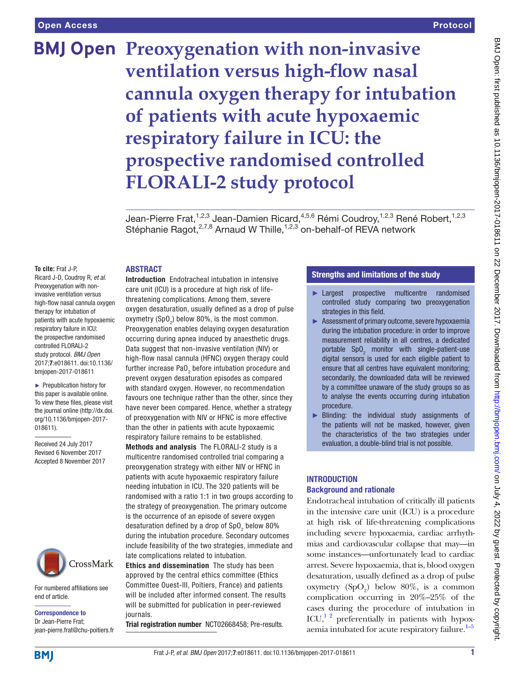# **BMJ Open Preoxygenation with non-invasive ventilation versus high-flow nasal cannula oxygen therapy for intubation of patients with acute hypoxaemic respiratory failure in ICU: the prospective randomised controlled FLORALI-2 study protocol**

Jean-Pierre Frat,<sup>1,2,3</sup> Jean-Damien Ricard,<sup>4,5,6</sup> Rémi Coudroy,<sup>1,2,3</sup> René Robert,<sup>1,2,3</sup> Stéphanie Ragot,<sup>2,7,8</sup> Arnaud W Thille,<sup>1,2,3</sup> on-behalf-of REVA network

#### **To cite:** Frat J-P,

Ricard J-D, Coudroy R, *et al*. Preoxygenation with noninvasive ventilation versus high-flow nasal cannula oxygen therapy for intubation of patients with acute hypoxaemic respiratory failure in ICU: the prospective randomised controlled FLORALI-2 study protocol. *BMJ Open* 2017;7:e018611. doi:10.1136/ bmjopen-2017-018611

**ABSTRACT** 

► Prepublication history for this paper is available online. To view these files, please visit the journal online [\(http://dx.doi.](http://dx.doi.org/10.1136/bmjopen-2017-018611) [org/10.1136/bmjopen-2017-](http://dx.doi.org/10.1136/bmjopen-2017-018611) [018611\)](http://dx.doi.org/10.1136/bmjopen-2017-018611).

Received 24 July 2017 Revised 6 November 2017 Accepted 8 November 2017



For numbered affiliations see end of article.

Correspondence to Dr Jean-Pierre Frat; jean-pierre.frat@chu-poitiers.fr Introduction Endotracheal intubation in intensive care unit (ICU) is a procedure at high risk of lifethreatening complications. Among them, severe oxygen desaturation, usually defined as a drop of pulse oxymetry (SpO $_2$ ) below 80%, is the most common. Preoxygenation enables delaying oxygen desaturation occurring during apnea induced by anaesthetic drugs. Data suggest that non-invasive ventilation (NIV) or high-flow nasal cannula (HFNC) oxygen therapy could further increase PaO $_{\textrm{\tiny{2}}}$  before intubation procedure and prevent oxygen desaturation episodes as compared with standard oxygen. However, no recommendation favours one technique rather than the other, since they have never been compared. Hence, whether a strategy of preoxygenation with NIV or HFNC is more effective than the other in patients with acute hypoxaemic

respiratory failure remains to be established. Methods and analysis The FLORALI-2 study is a multicentre randomised controlled trial comparing a preoxygenation strategy with either NIV or HFNC in patients with acute hypoxaemic respiratory failure needing intubation in ICU. The 320 patients will be randomised with a ratio 1:1 in two groups according to the strategy of preoxygenation. The primary outcome is the occurrence of an episode of severe oxygen desaturation defined by a drop of SpO $_2$  below 80% during the intubation procedure. Secondary outcomes include feasibility of the two strategies, immediate and late complications related to intubation.

Ethics and dissemination The study has been approved by the central ethics committee (Ethics Committee Ouest-III, Poitiers, France) and patients will be included after informed consent. The results will be submitted for publication in peer-reviewed journals.

Trial registration number [NCT02668458; Pre-results](NCT02668458).

#### Strengths and limitations of the study

- ► Largest prospective multicentre randomised controlled study comparing two preoxygenation strategies in this field.
- ► Assessment of primary outcome, severe hypoxaemia during the intubation procedure: in order to improve measurement reliability in all centres, a dedicated portable  $SpO<sub>2</sub>$  monitor with single-patient-use digital sensors is used for each eligible patient to ensure that all centres have equivalent monitoring; secondarily, the downloaded data will be reviewed by a committee unaware of the study groups so as to analyse the events occurring during intubation procedure.
- ► Blinding: the individual study assignments of the patients will not be masked, however, given the characteristics of the two strategies under evaluation, a double-blind trial is not possible.

#### **INTRODUCTION** Background and rationale

Endotracheal intubation of critically ill patients in the intensive care unit (ICU) is a procedure at high risk of life-threatening complications including severe hypoxaemia, cardiac arrhythmias and cardiovascular collapse that may—in some instances—unfortunately lead to cardiac arrest. Severe hypoxaemia, that is, blood oxygen desaturation, usually defined as a drop of pulse oxymetry  $(SpO<sub>2</sub>)$  below 80%, is a common complication occurring in 20%–25% of the cases during the procedure of intubation in ICU, $^{12}$  preferentially in patients with hypoxaemia intubated for acute respiratory failure. $1-5$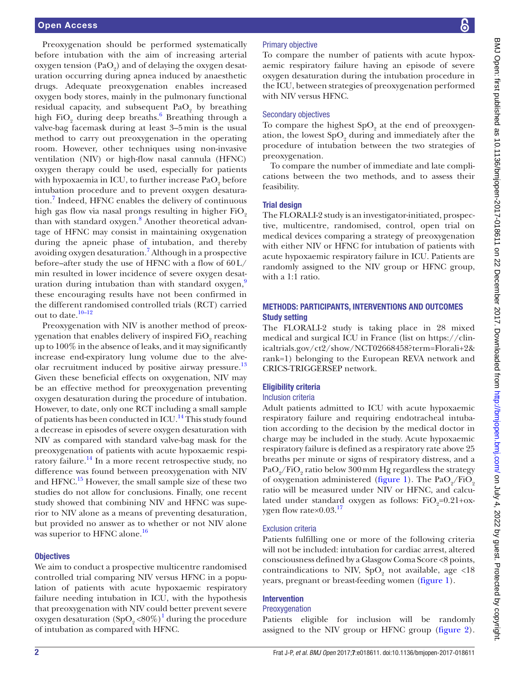Preoxygenation should be performed systematically before intubation with the aim of increasing arterial oxygen tension  $(PaO<sub>2</sub>)$  and of delaying the oxygen desaturation occurring during apnea induced by anaesthetic drugs. Adequate preoxygenation enables increased oxygen body stores, mainly in the pulmonary functional residual capacity, and subsequent  $PaO<sub>2</sub>$  by breathing high  $FiO_2$  during deep breaths.<sup>[6](#page-8-0)</sup> Breathing through a valve-bag facemask during at least 3–5min is the usual method to carry out preoxygenation in the operating room. However, other techniques using non-invasive ventilation (NIV) or high-flow nasal cannula (HFNC) oxygen therapy could be used, especially for patients with hypoxaemia in ICU, to further increase  $\mathrm{PaO}_2$  before intubation procedure and to prevent oxygen desatura-tion.<sup>[7](#page-8-1)</sup> Indeed, HFNC enables the delivery of continuous high gas flow via nasal prongs resulting in higher FiO<sub>2</sub> than with standard oxygen.<sup>[8](#page-8-2)</sup> Another theoretical advantage of HFNC may consist in maintaining oxygenation during the apneic phase of intubation, and thereby avoiding oxygen desaturation.<sup>[7](#page-8-1)</sup> Although in a prospective before–after study the use of HFNC with a flow of 60L/ min resulted in lower incidence of severe oxygen desaturation during intubation than with standard oxygen, $9$ these encouraging results have not been confirmed in the different randomised controlled trials (RCT) carried out to date. $10-12$ 

Preoxygenation with NIV is another method of preoxygenation that enables delivery of inspired  ${\rm FiO_2}$  reaching up to 100% in the absence of leaks, and it may significantly increase end-expiratory lung volume due to the alve-olar recruitment induced by positive airway pressure.<sup>[13](#page-8-5)</sup> Given these beneficial effects on oxygenation, NIV may be an effective method for preoxygenation preventing oxygen desaturation during the procedure of intubation. However, to date, only one RCT including a small sample of patients has been conducted in ICU.<sup>[14](#page-8-6)</sup> This study found a decrease in episodes of severe oxygen desaturation with NIV as compared with standard valve-bag mask for the preoxygenation of patients with acute hypoxaemic respiratory failure.<sup>14</sup> In a more recent retrospective study, no difference was found between preoxygenation with NIV and HFNC.<sup>15</sup> However, the small sample size of these two studies do not allow for conclusions. Finally, one recent study showed that combining NIV and HFNC was superior to NIV alone as a means of preventing desaturation, but provided no answer as to whether or not NIV alone was superior to HFNC alone.<sup>[16](#page-8-8)</sup>

#### **Objectives**

We aim to conduct a prospective multicentre randomised controlled trial comparing NIV versus HFNC in a population of patients with acute hypoxaemic respiratory failure needing intubation in ICU, with the hypothesis that preoxygenation with NIV could better prevent severe oxygen desaturation  $(SpO<sub>2</sub> < 80\%)<sup>1</sup>$  $(SpO<sub>2</sub> < 80\%)<sup>1</sup>$  $(SpO<sub>2</sub> < 80\%)<sup>1</sup>$  during the procedure of intubation as compared with HFNC.

### Primary objective

To compare the number of patients with acute hypoxaemic respiratory failure having an episode of severe oxygen desaturation during the intubation procedure in the ICU, between strategies of preoxygenation performed with NIV versus HFNC.

#### Secondary objectives

To compare the highest  $SpO<sub>2</sub>$  at the end of preoxygenation, the lowest  $SpO<sub>2</sub>$  during and immediately after the procedure of intubation between the two strategies of preoxygenation.

To compare the number of immediate and late complications between the two methods, and to assess their feasibility.

#### Trial design

The FLORALI-2 study is an investigator-initiated, prospective, multicentre, randomised, control, open trial on medical devices comparing a strategy of preoxygenation with either NIV or HFNC for intubation of patients with acute hypoxaemic respiratory failure in ICU. Patients are randomly assigned to the NIV group or HFNC group, with a 1:1 ratio.

#### Methods: participants, interventions and outcomes Study setting

The FLORALI-2 study is taking place in 28 mixed medical and surgical ICU in France (list on [https://clin](https://clinicaltrials.gov/ct2/show/NCT02668458?term=Florali+2&rank=1)[icaltrials.gov/ct2/show/NCT02668458?term=Florali+2&](https://clinicaltrials.gov/ct2/show/NCT02668458?term=Florali+2&rank=1) [rank=1](https://clinicaltrials.gov/ct2/show/NCT02668458?term=Florali+2&rank=1)) belonging to the European REVA network and CRICS-TRIGGERSEP network.

#### Eligibility criteria

#### Inclusion criteria

Adult patients admitted to ICU with acute hypoxaemic respiratory failure and requiring endotracheal intubation according to the decision by the medical doctor in charge may be included in the study. Acute hypoxaemic respiratory failure is defined as a respiratory rate above 25 breaths per minute or signs of respiratory distress, and a  $\text{PaO}_2/\text{FiO}_2$  ratio below  $300\,\text{mm}$  Hg regardless the strategy of oxygenation administered ([figure](#page-2-0) 1). The  $PaO_2/FiO_2$ ratio will be measured under NIV or HFNC, and calculated under standard oxygen as follows:  $FiO<sub>2</sub>=0.21+\alpha x$ ygen flow rate $\times$ 0.03.<sup>[17](#page-8-9)</sup>

#### Exclusion criteria

Patients fulfilling one or more of the following criteria will not be included: intubation for cardiac arrest, altered consciousness defined by a Glasgow Coma Score <8 points, contraindications to NIV,  $SpO<sub>2</sub>$  not available, age <18 years, pregnant or breast-feeding women [\(figure](#page-2-0) 1).

#### Intervention

#### Preoxygenation

Patients eligible for inclusion will be randomly assigned to the NIV group or HFNC group [\(figure](#page-3-0) 2).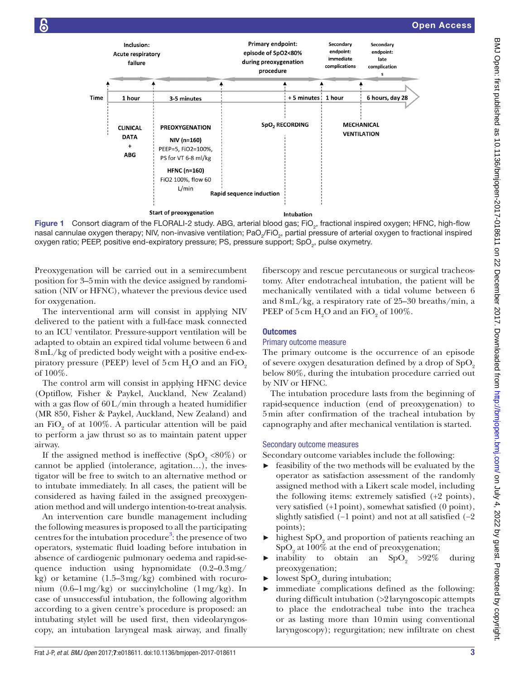

<span id="page-2-0"></span>Figure 1 Consort diagram of the FLORALI-2 study. ABG, arterial blood gas; FiO<sub>2</sub>, fractional inspired oxygen; HFNC, high-flow nasal cannulae oxygen therapy; NIV, non-invasive ventilation; PaO<sub>2</sub>/FiO<sub>2</sub>, partial pressure of arterial oxygen to fractional inspired oxygen ratio; PEEP, positive end-expiratory pressure; PS, pressure support; SpO<sub>2</sub>, pulse oxymetry.

Preoxygenation will be carried out in a semirecumbent position for 3–5min with the device assigned by randomisation (NIV or HFNC), whatever the previous device used for oxygenation.

The interventional arm will consist in applying NIV delivered to the patient with a full-face mask connected to an ICU ventilator. Pressure-support ventilation will be adapted to obtain an expired tidal volume between 6 and 8mL/kg of predicted body weight with a positive end-expiratory pressure (PEEP) level of  $5\,\mathrm{cm}\ \mathrm{H}_{\mathrm{2}}\mathrm{O}$  and an  $\mathrm{FiO}_{\mathrm{2}}$ of 100%.

The control arm will consist in applying HFNC device (Optiflow, Fisher & Paykel, Auckland, New Zealand) with a gas flow of 60L/min through a heated humidifier (MR 850, Fisher & Paykel, Auckland, New Zealand) and an FiO<sub>2</sub> of at 100%. A particular attention will be paid to perform a jaw thrust so as to maintain patent upper airway.

If the assigned method is ineffective  $(SpO<sub>9</sub> < 80\%)$  or cannot be applied (intolerance, agitation…), the investigator will be free to switch to an alternative method or to intubate immediately. In all cases, the patient will be considered as having failed in the assigned preoxygenation method and will undergo intention-to-treat analysis.

An intervention care bundle management including the following measures is proposed to all the participating centres for the intubation procedure<sup>[3](#page-7-1)</sup>: the presence of two operators, systematic fluid loading before intubation in absence of cardiogenic pulmonary oedema and rapid-sequence induction using hypnomidate (0.2–0.3mg/ kg) or ketamine  $(1.5-3mg/kg)$  combined with rocuronium  $(0.6-1 \text{ mg/kg})$  or succinylcholine  $(1 \text{ mg/kg})$ . In case of unsuccessful intubation, the following algorithm according to a given centre's procedure is proposed: an intubating stylet will be used first, then videolaryngoscopy, an intubation laryngeal mask airway, and finally

fiberscopy and rescue percutaneous or surgical tracheostomy. After endotracheal intubation, the patient will be mechanically ventilated with a tidal volume between 6 and 8mL/kg, a respiratory rate of 25–30 breaths/min, a PEEP of  $5 \text{ cm } H_2\text{O}$  and an FiO<sub>2</sub> of 100%.

#### **Outcomes**

#### Primary outcome measure

The primary outcome is the occurrence of an episode of severe oxygen desaturation defined by a drop of  $SpO<sub>2</sub>$ below 80%, during the intubation procedure carried out by NIV or HFNC.

The intubation procedure lasts from the beginning of rapid-sequence induction (end of preoxygenation) to 5min after confirmation of the tracheal intubation by capnography and after mechanical ventilation is started.

#### Secondary outcome measures

Secondary outcome variables include the following:

- ► feasibility of the two methods will be evaluated by the operator as satisfaction assessment of the randomly assigned method with a Likert scale model, including the following items: extremely satisfied (+2 points), very satisfied (+1point), somewhat satisfied (0 point), slightly satisfied (−1 point) and not at all satisfied (−2 points);
- $\blacktriangleright$  highest SpO<sub>2</sub> and proportion of patients reaching an  $\mathrm{SpO}_2$  at 100% at the end of preoxygenation;
- inability to obtain an  $SpO<sub>2</sub> > 92\%$  during preoxygenation;
- $\blacktriangleright$  lowest SpO<sub>2</sub> during intubation;
- immediate complications defined as the following: during difficult intubation (>2laryngoscopic attempts to place the endotracheal tube into the trachea or as lasting more than 10min using conventional laryngoscopy); regurgitation; new infiltrate on chest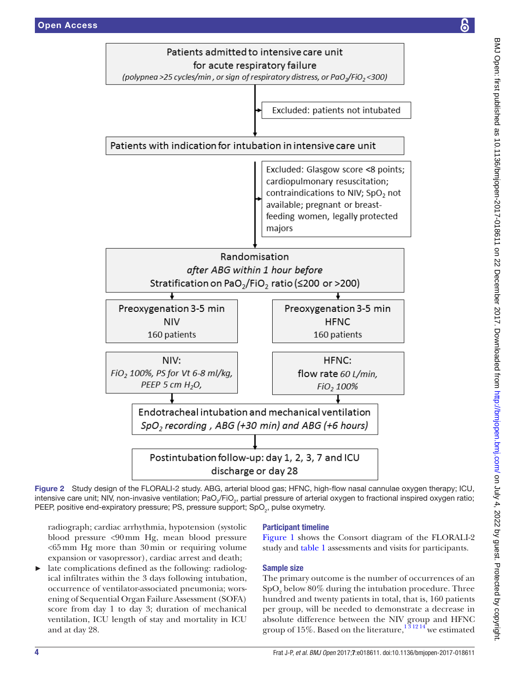

Figure 2 Study design of the FLORALI-2 study. ABG, arterial blood gas; HFNC, high-flow nasal cannulae oxygen therapy; ICU, intensive care unit; NIV, non-invasive ventilation; PaO<sub>2</sub>/FiO<sub>2</sub>, partial pressure of arterial oxygen to fractional inspired oxygen ratio; PEEP, positive end-expiratory pressure; PS, pressure support; SpO<sub>2</sub>, pulse oxymetry.

<span id="page-3-0"></span>radiograph; cardiac arrhythmia, hypotension (systolic blood pressure <90mm Hg, mean blood pressure  $<$  65 mm Hg more than 30 min or requiring volume expansion or vasopressor), cardiac arrest and death;

late complications defined as the following: radiological infiltrates within the 3 days following intubation, occurrence of ventilator-associated pneumonia; worsening of Sequential Organ Failure Assessment (SOFA) score from day 1 to day 3; duration of mechanical ventilation, ICU length of stay and mortality in ICU and at day 28.

#### Participant timeline

[Figure](#page-2-0) 1 shows the Consort diagram of the FLORALI-2 study and [table](#page-4-0) 1 assessments and visits for participants.

#### Sample size

The primary outcome is the number of occurrences of an  $\mathrm{SpO}_2$  below  $80\%$  during the intubation procedure. Three hundred and twenty patients in total, that is, 160 patients per group, will be needed to demonstrate a decrease in absolute difference between the NIV group and HFNC group of 15%. Based on the literature,<sup>131214</sup> we estimated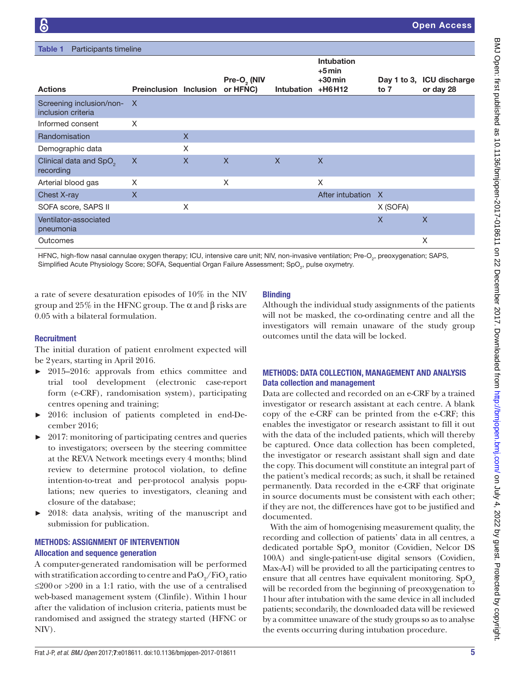<span id="page-4-0"></span>

| <b>Table 1</b><br>Participants timeline          |                               |   |                                     |                   |                                                         |          |                                        |
|--------------------------------------------------|-------------------------------|---|-------------------------------------|-------------------|---------------------------------------------------------|----------|----------------------------------------|
| <b>Actions</b>                                   | <b>Preinclusion Inclusion</b> |   | Pre-O <sub>2</sub> (NIV<br>or HFNC) | <b>Intubation</b> | <b>Intubation</b><br>$+5$ min<br>$+30$ min<br>$+$ H6H12 | to 7     | Day 1 to 3, ICU discharge<br>or day 28 |
| Screening inclusion/non- X<br>inclusion criteria |                               |   |                                     |                   |                                                         |          |                                        |
| Informed consent                                 | X                             |   |                                     |                   |                                                         |          |                                        |
| Randomisation                                    |                               | X |                                     |                   |                                                         |          |                                        |
| Demographic data                                 |                               | X |                                     |                   |                                                         |          |                                        |
| Clinical data and SpO <sub>2</sub><br>recording  | X                             | X | X                                   | $\mathsf{X}$      | $\mathsf{X}$                                            |          |                                        |
| Arterial blood gas                               | X                             |   | X                                   |                   | X                                                       |          |                                        |
| Chest X-ray                                      | X                             |   |                                     |                   | After intubation                                        | X        |                                        |
| SOFA score, SAPS II                              |                               | X |                                     |                   |                                                         | X (SOFA) |                                        |
| Ventilator-associated<br>pneumonia               |                               |   |                                     |                   |                                                         | X        | $\mathsf{X}$                           |
| Outcomes                                         |                               |   |                                     |                   |                                                         |          | X                                      |

HFNC, high-flow nasal cannulae oxygen therapy; ICU, intensive care unit; NIV, non-invasive ventilation; Pre-O<sub>2</sub>, preoxygenation; SAPS, Simplified Acute Physiology Score; SOFA, Sequential Organ Failure Assessment; SpO $_{_2}$ , pulse oxymetry.

a rate of severe desaturation episodes of 10% in the NIV group and 25% in the HFNC group. The α and β risks are 0.05 with a bilateral formulation.

#### **Recruitment**

The initial duration of patient enrolment expected will be 2years, starting in April 2016.

- ► 2015–2016: approvals from ethics committee and trial tool development (electronic case-report form (e-CRF), randomisation system), participating centres opening and training;
- ► 2016: inclusion of patients completed in end-December 2016;
- ► 2017: monitoring of participating centres and queries to investigators; overseen by the steering committee at the REVA Network meetings every 4 months; blind review to determine protocol violation, to define intention-to-treat and per-protocol analysis populations; new queries to investigators, cleaning and closure of the database;
- ► 2018: data analysis, writing of the manuscript and submission for publication.

#### Methods: assignment of intervention Allocation and sequence generation

A computer-generated randomisation will be performed with stratification according to centre and  $\mathrm{PaO}_2/\mathrm{FiO}_2$  ratio ≤200or >200 in a 1:1 ratio, with the use of a centralised web-based management system (Clinfile). Within 1hour after the validation of inclusion criteria, patients must be randomised and assigned the strategy started (HFNC or NIV).

#### **Blinding**

Although the individual study assignments of the patients will not be masked, the co-ordinating centre and all the investigators will remain unaware of the study group outcomes until the data will be locked.

#### Methods: data collection, management and analysis Data collection and management

Data are collected and recorded on an e-CRF by a trained investigator or research assistant at each centre. A blank copy of the e-CRF can be printed from the e-CRF; this enables the investigator or research assistant to fill it out with the data of the included patients, which will thereby be captured. Once data collection has been completed, the investigator or research assistant shall sign and date the copy. This document will constitute an integral part of the patient's medical records; as such, it shall be retained permanently. Data recorded in the e-CRF that originate in source documents must be consistent with each other; if they are not, the differences have got to be justified and documented.

With the aim of homogenising measurement quality, the recording and collection of patients' data in all centres, a dedicated portable  $SpO_2$  monitor (Covidien, Nelcor DS 100A) and single-patient-use digital sensors (Covidien, Max-A-I) will be provided to all the participating centres to ensure that all centres have equivalent monitoring.  $SpO<sub>2</sub>$ will be recorded from the beginning of preoxygenation to 1hour after intubation with the same device in all included patients; secondarily, the downloaded data will be reviewed by a committee unaware of the study groups so as to analyse the events occurring during intubation procedure.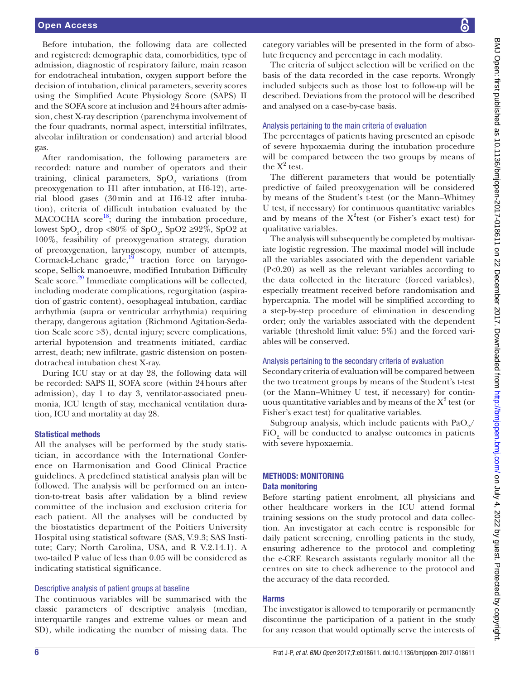Before intubation, the following data are collected and registered: demographic data, comorbidities, type of admission, diagnostic of respiratory failure, main reason for endotracheal intubation, oxygen support before the decision of intubation, clinical parameters, severity scores using the Simplified Acute Physiology Score (SAPS) II and the SOFA score at inclusion and 24hours after admission, chest X-ray description (parenchyma involvement of the four quadrants, normal aspect, interstitial infiltrates, alveolar infiltration or condensation) and arterial blood gas.

After randomisation, the following parameters are recorded: nature and number of operators and their training, clinical parameters,  $SpO<sub>2</sub>$  variations (from preoxygenation to H1 after intubation, at H6-12), arterial blood gases (30min and at H6-12 after intubation), criteria of difficult intubation evaluated by the  $MACOCHA$  score<sup>[18](#page-8-10)</sup>; during the intubation procedure, lowest  $SpO<sub>2</sub>$ , drop <80% of  $SpO<sub>2</sub>$ ,  $SpO2 \ge 92\%$ ,  $SpO2$  at 100%, feasibility of preoxygenation strategy, duration of preoxygenation, laryngoscopy, number of attempts, Cormack-Lehane grade, $\frac{19}{19}$  traction force on laryngoscope, Sellick manoeuvre, modified Intubation Difficulty Scale score.<sup>20</sup> Immediate complications will be collected, including moderate complications, regurgitation (aspiration of gastric content), oesophageal intubation, cardiac arrhythmia (supra or ventricular arrhythmia) requiring therapy, dangerous agitation (Richmond Agitation-Sedation Scale score >3), dental injury; severe complications, arterial hypotension and treatments initiated, cardiac arrest, death; new infiltrate, gastric distension on postendotracheal intubation chest X-ray.

During ICU stay or at day 28, the following data will be recorded: SAPS II, SOFA score (within 24hours after admission), day 1 to day 3, ventilator-associated pneumonia, ICU length of stay, mechanical ventilation duration, ICU and mortality at day 28.

#### Statistical methods

All the analyses will be performed by the study statistician, in accordance with the International Conference on Harmonisation and Good Clinical Practice guidelines. A predefined statistical analysis plan will be followed. The analysis will be performed on an intention-to-treat basis after validation by a blind review committee of the inclusion and exclusion criteria for each patient. All the analyses will be conducted by the biostatistics department of the Poitiers University Hospital using statistical software (SAS, V.9.3; SAS Institute; Cary; North Carolina, USA, and R V.2.14.1). A two-tailed P value of less than 0.05 will be considered as indicating statistical significance.

#### Descriptive analysis of patient groups at baseline

The continuous variables will be summarised with the classic parameters of descriptive analysis (median, interquartile ranges and extreme values or mean and SD), while indicating the number of missing data. The

category variables will be presented in the form of absolute frequency and percentage in each modality.

The criteria of subject selection will be verified on the basis of the data recorded in the case reports. Wrongly included subjects such as those lost to follow-up will be described. Deviations from the protocol will be described and analysed on a case-by-case basis.

#### Analysis pertaining to the main criteria of evaluation

The percentages of patients having presented an episode of severe hypoxaemia during the intubation procedure will be compared between the two groups by means of the  $X^2$  test.

The different parameters that would be potentially predictive of failed preoxygenation will be considered by means of the Student's t-test (or the Mann–Whitney U test, if necessary) for continuous quantitative variables and by means of the  $X^2$ test (or Fisher's exact test) for qualitative variables.

The analysis will subsequently be completed by multivariate logistic regression. The maximal model will include all the variables associated with the dependent variable (P<0.20) as well as the relevant variables according to the data collected in the literature (forced variables), especially treatment received before randomisation and hypercapnia. The model will be simplified according to a step-by-step procedure of elimination in descending order; only the variables associated with the dependent variable (threshold limit value: 5%) and the forced variables will be conserved.

#### Analysis pertaining to the secondary criteria of evaluation

Secondary criteria of evaluation will be compared between the two treatment groups by means of the Student's t-test (or the Mann–Whitney U test, if necessary) for continuous quantitative variables and by means of the  $X^2$  test (or Fisher's exact test) for qualitative variables.

Subgroup analysis, which include patients with  $PaO_2/$  $FiO<sub>9</sub>$  will be conducted to analyse outcomes in patients with severe hypoxaemia.

#### Methods: monitoring Data monitoring

Before starting patient enrolment, all physicians and other healthcare workers in the ICU attend formal training sessions on the study protocol and data collection. An investigator at each centre is responsible for daily patient screening, enrolling patients in the study, ensuring adherence to the protocol and completing the e-CRF. Research assistants regularly monitor all the centres on site to check adherence to the protocol and the accuracy of the data recorded.

#### Harms

The investigator is allowed to temporarily or permanently discontinue the participation of a patient in the study for any reason that would optimally serve the interests of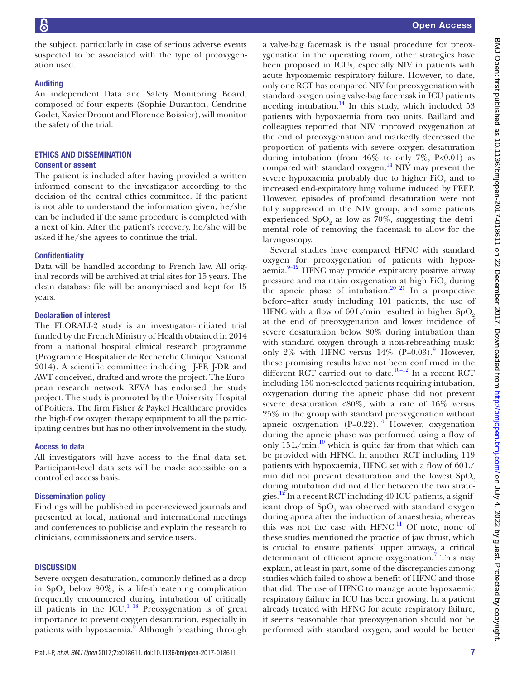the subject, particularly in case of serious adverse events suspected to be associated with the type of preoxygenation used.

#### **Auditing**

An independent Data and Safety Monitoring Board, composed of four experts (Sophie Duranton, Cendrine Godet, Xavier Drouot and Florence Boissier), will monitor the safety of the trial.

## Ethics and dissemination

#### Consent or assent

The patient is included after having provided a written informed consent to the investigator according to the decision of the central ethics committee. If the patient is not able to understand the information given, he/she can be included if the same procedure is completed with a next of kin. After the patient's recovery, he/she will be asked if he/she agrees to continue the trial.

#### **Confidentiality**

Data will be handled according to French law. All original records will be archived at trial sites for 15 years. The clean database file will be anonymised and kept for 15 years.

#### Declaration of interest

The FLORALI-2 study is an investigator-initiated trial funded by the French Ministry of Health obtained in 2014 from a national hospital clinical research programme (Programme Hospitalier de Recherche Clinique National 2014). A scientific committee including J-PF, J-DR and AWT conceived, drafted and wrote the project. The European research network REVA has endorsed the study project. The study is promoted by the University Hospital of Poitiers. The firm Fisher & Paykel Healthcare provides the high-flow oxygen therapy equipment to all the participating centres but has no other involvement in the study.

#### Access to data

All investigators will have access to the final data set. Participant-level data sets will be made accessible on a controlled access basis.

#### Dissemination policy

Findings will be published in peer-reviewed journals and presented at local, national and international meetings and conferences to publicise and explain the research to clinicians, commissioners and service users.

#### **DISCUSSION**

Severe oxygen desaturation, commonly defined as a drop in  $SpO<sub>2</sub>$  below  $80\%$ , is a life-threatening complication frequently encountered during intubation of critically ill patients in the ICU.<sup>1 18</sup> Preoxygenation is of great importance to prevent oxygen desaturation, especially in patients with hypoxaemia.<sup>5</sup> Although breathing through

a valve-bag facemask is the usual procedure for preoxygenation in the operating room, other strategies have been proposed in ICUs, especially NIV in patients with acute hypoxaemic respiratory failure. However, to date, only one RCT has compared NIV for preoxygenation with standard oxygen using valve-bag facemask in ICU patients needing intubation. $^{14}$  In this study, which included 53 patients with hypoxaemia from two units, Baillard and colleagues reported that NIV improved oxygenation at the end of preoxygenation and markedly decreased the proportion of patients with severe oxygen desaturation during intubation (from  $46\%$  to only  $7\%$ , P<0.01) as compared with standard oxygen. $^{14}$  $^{14}$  $^{14}$  NIV may prevent the severe hypoxaemia probably due to higher  $\rm{FiO}_{2}$  and to increased end-expiratory lung volume induced by PEEP. However, episodes of profound desaturation were not fully suppressed in the NIV group, and some patients experienced  $SpO<sub>2</sub>$  as low as 70%, suggesting the detrimental role of removing the facemask to allow for the laryngoscopy.

Several studies have compared HFNC with standard oxygen for preoxygenation of patients with hypox- $\alpha$ emia.<sup>[9–12](#page-8-3)</sup> HFNC may provide expiratory positive airway pressure and maintain oxygenation at high  $\text{FiO}_2$  during the apneic phase of intubation.<sup>[20 21](#page-8-12)</sup> In a prospective before–after study including 101 patients, the use of HFNC with a flow of  $60 \text{L/min}$  resulted in higher SpO<sub>2</sub> at the end of preoxygenation and lower incidence of severe desaturation below 80% during intubation than with standard oxygen through a non-rebreathing mask: only 2% with HFNC versus  $14\%$  (P=0.03).<sup>[9](#page-8-3)</sup> However, these promising results have not been confirmed in the different RCT carried out to date.<sup>[10–12](#page-8-4)</sup> In a recent RCT including 150 non-selected patients requiring intubation, oxygenation during the apneic phase did not prevent severe desaturation <80%, with a rate of 16% versus 25% in the group with standard preoxygenation without apneic oxygenation  $(P=0.22)$ .<sup>10</sup> However, oxygenation during the apneic phase was performed using a flow of only  $15L/min$ ,<sup>10</sup> which is quite far from that which can be provided with HFNC. In another RCT including 119 patients with hypoxaemia, HFNC set with a flow of 60L/ min did not prevent desaturation and the lowest  $SpO<sub>2</sub>$ during intubation did not differ between the two strategies.<sup>12</sup> In a recent RCT including 40 ICU patients, a significant drop of  $\text{SpO}_2$  was observed with standard oxygen during apnea after the induction of anaesthesia, whereas this was not the case with HFNC.<sup>11</sup> Of note, none of these studies mentioned the practice of jaw thrust, which is crucial to ensure patients' upper airways, a critical determinant of efficient apneic oxygenation.<sup>[7](#page-8-1)</sup> This may explain, at least in part, some of the discrepancies among studies which failed to show a benefit of HFNC and those that did. The use of HFNC to manage acute hypoxaemic respiratory failure in ICU has been growing. In a patient already treated with HFNC for acute respiratory failure, it seems reasonable that preoxygenation should not be performed with standard oxygen, and would be better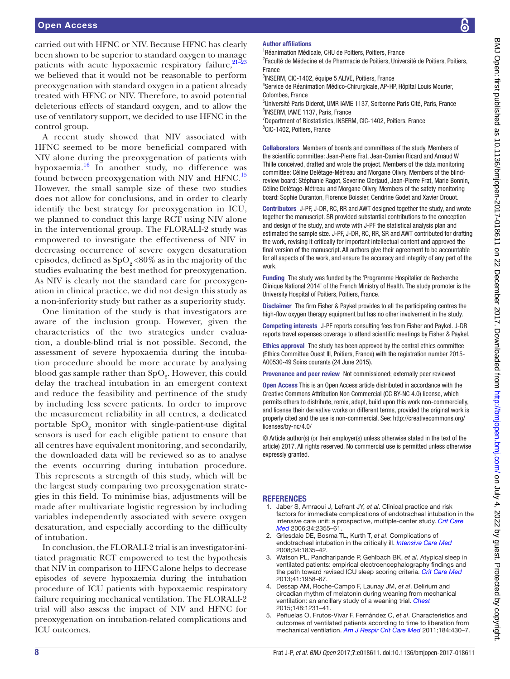carried out with HFNC or NIV. Because HFNC has clearly been shown to be superior to standard oxygen to manage patients with acute hypoxaemic respiratory failure, $21-23$ we believed that it would not be reasonable to perform preoxygenation with standard oxygen in a patient already treated with HFNC or NIV. Therefore, to avoid potential deleterious effects of standard oxygen, and to allow the use of ventilatory support, we decided to use HFNC in the control group.

A recent study showed that NIV associated with HFNC seemed to be more beneficial compared with NIV alone during the preoxygenation of patients with hypoxaemia.[16](#page-8-8) In another study, no difference was found between preoxygenation with NIV and HFNC.<sup>[15](#page-8-7)</sup> However, the small sample size of these two studies does not allow for conclusions, and in order to clearly identify the best strategy for preoxygenation in ICU, we planned to conduct this large RCT using NIV alone in the interventional group. The FLORALI-2 study was empowered to investigate the effectiveness of NIV in decreasing occurrence of severe oxygen desaturation episodes, defined as  $SpO, 80\%$  as in the majority of the studies evaluating the best method for preoxygenation. As NIV is clearly not the standard care for preoxygenation in clinical practice, we did not design this study as a non-inferiority study but rather as a superiority study.

One limitation of the study is that investigators are aware of the inclusion group. However, given the characteristics of the two strategies under evaluation, a double-blind trial is not possible. Second, the assessment of severe hypoxaemia during the intubation procedure should be more accurate by analysing blood gas sample rather than  $\mathrm{SpO}_2$ . However, this could delay the tracheal intubation in an emergent context and reduce the feasibility and pertinence of the study by including less severe patients. In order to improve the measurement reliability in all centres, a dedicated portable  $SpO<sub>2</sub>$  monitor with single-patient-use digital sensors is used for each eligible patient to ensure that all centres have equivalent monitoring, and secondarily, the downloaded data will be reviewed so as to analyse the events occurring during intubation procedure. This represents a strength of this study, which will be the largest study comparing two preoxygenation strategies in this field. To minimise bias, adjustments will be made after multivariate logistic regression by including variables independently associated with severe oxygen desaturation, and especially according to the difficulty of intubation.

In conclusion, the FLORALI-2 trial is an investigator-initiated pragmatic RCT empowered to test the hypothesis that NIV in comparison to HFNC alone helps to decrease episodes of severe hypoxaemia during the intubation procedure of ICU patients with hypoxaemic respiratory failure requiring mechanical ventilation. The FLORALI-2 trial will also assess the impact of NIV and HFNC for preoxygenation on intubation-related complications and ICU outcomes.

#### Author affiliations

<sup>1</sup>Réanimation Médicale, CHU de Poitiers, Poitiers, France

<sup>2</sup> Faculté de Médecine et de Pharmacie de Poitiers, Université de Poitiers, Poitiers, France

3 INSERM, CIC-1402, équipe 5 ALIVE, Poitiers, France

4 Service de Réanimation Médico-Chirurgicale, AP-HP, Hôpital Louis Mourier, Colombes, France

5 Université Paris Diderot, UMR IAME 1137, Sorbonne Paris Cité, Paris, France 6 INSERM, IAME 1137, Paris, France

<sup>7</sup>Department of Biostatistics, INSERM, CIC-1402, Poitiers, France 8 CIC-1402, Poitiers, France

Collaborators Members of boards and committees of the study. Members of the scientific committee: Jean-Pierre Frat, Jean-Damien Ricard and Arnaud W Thille conceived, drafted and wrote the project. Members of the data monitoring committee: Céline Delétage-Métreau and Morgane Olivry. Members of the blindreview board: Stéphanie Ragot, Severine Clerjaud, Jean-Pierre Frat, Marie Bonnin, Céline Delétage-Métreau and Morgane Olivry. Members of the safety monitoring board: Sophie Duranton, Florence Boissier, Cendrine Godet and Xavier Drouot.

Contributors J-PF, J-DR, RC, RR and AWT designed together the study, and wrote together the manuscript. SR provided substantial contributions to the conception and design of the study, and wrote with J-PF the statistical analysis plan and estimated the sample size. J-PF, J-DR, RC, RR, SR and AWT contributed for drafting the work, revising it critically for important intellectual content and approved the final version of the manuscript. All authors give their agreement to be accountable for all aspects of the work, and ensure the accuracy and integrity of any part of the work.

Funding The study was funded by the 'Programme Hospitalier de Recherche Clinique National 2014' of the French Ministry of Health. The study promoter is the University Hospital of Poitiers, Poitiers, France.

Disclaimer The firm Fisher & Paykel provides to all the participating centres the high-flow oxygen therapy equipment but has no other involvement in the study.

Competing interests J-PF reports consulting fees from Fisher and Paykel. J-DR reports travel expenses coverage to attend scientific meetings by Fisher & Paykel.

Ethics approval The study has been approved by the central ethics committee (Ethics Committee Ouest III, Poitiers, France) with the registration number 2015- A00530-49 Soins courants (24 June 2015).

Provenance and peer review Not commissioned; externally peer reviewed

Open Access This is an Open Access article distributed in accordance with the Creative Commons Attribution Non Commercial (CC BY-NC 4.0) license, which permits others to distribute, remix, adapt, build upon this work non-commercially, and license their derivative works on different terms, provided the original work is properly cited and the use is non-commercial. See: [http://creativecommons.org/](http://creativecommons.org/licenses/by-nc/4.0/) [licenses/by-nc/4.0/](http://creativecommons.org/licenses/by-nc/4.0/)

© Article author(s) (or their employer(s) unless otherwise stated in the text of the article) 2017. All rights reserved. No commercial use is permitted unless otherwise expressly granted.

#### **REFERENCES**

- <span id="page-7-0"></span>1. Jaber S, Amraoui J, Lefrant JY, *et al*. Clinical practice and risk factors for immediate complications of endotracheal intubation in the intensive care unit: a prospective, multiple-center study. *[Crit Care](http://dx.doi.org/10.1097/01.CCM.0000233879.58720.87)  [Med](http://dx.doi.org/10.1097/01.CCM.0000233879.58720.87)* 2006;34:2355–61.
- 2. Griesdale DE, Bosma TL, Kurth T, *et al*. Complications of endotracheal intubation in the critically ill. *[Intensive Care Med](http://dx.doi.org/10.1007/s00134-008-1205-6)* 2008;34:1835–42.
- <span id="page-7-1"></span>3. Watson PL, Pandharipande P, Gehlbach BK, *et al*. Atypical sleep in ventilated patients: empirical electroencephalography findings and the path toward revised ICU sleep scoring criteria. *[Crit Care Med](http://dx.doi.org/10.1097/CCM.0b013e31828a3f75)* 2013;41:1958–67.
- 4. Dessap AM, Roche-Campo F, Launay JM, *et al*. Delirium and circadian rhythm of melatonin during weaning from mechanical ventilation: an ancillary study of a weaning trial. *[Chest](http://dx.doi.org/10.1378/chest.15-0525)* 2015;148:1231–41.
- <span id="page-7-2"></span>5. Peñuelas O, Frutos-Vivar F, Fernández C, *et al*. Characteristics and outcomes of ventilated patients according to time to liberation from mechanical ventilation. *[Am J Respir Crit Care Med](http://dx.doi.org/10.1164/rccm.201011-1887OC)* 2011;184:430–7.